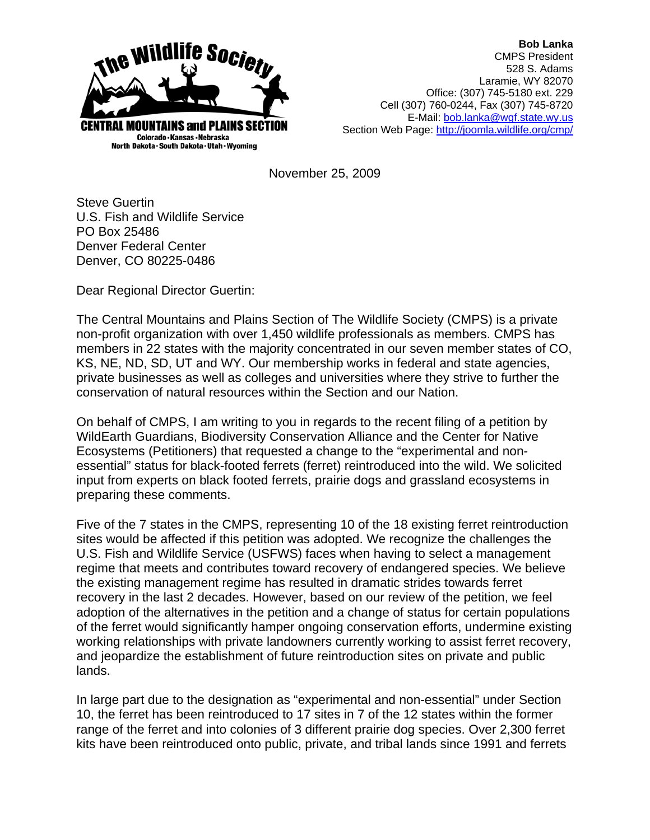

**Bob Lanka** CMPS President 528 S. Adams Laramie, WY 82070 Office: (307) 745-5180 ext. 229 Cell (307) 760-0244, Fax (307) 745-8720 E-Mail: bob.lanka@wgf.state.wy.us Section Web Page: http://joomla.wildlife.org/cmp/

November 25, 2009

Steve Guertin U.S. Fish and Wildlife Service PO Box 25486 Denver Federal Center Denver, CO 80225-0486

Dear Regional Director Guertin:

The Central Mountains and Plains Section of The Wildlife Society (CMPS) is a private non-profit organization with over 1,450 wildlife professionals as members. CMPS has members in 22 states with the majority concentrated in our seven member states of CO, KS, NE, ND, SD, UT and WY. Our membership works in federal and state agencies, private businesses as well as colleges and universities where they strive to further the conservation of natural resources within the Section and our Nation.

On behalf of CMPS, I am writing to you in regards to the recent filing of a petition by WildEarth Guardians, Biodiversity Conservation Alliance and the Center for Native Ecosystems (Petitioners) that requested a change to the "experimental and nonessential" status for black-footed ferrets (ferret) reintroduced into the wild. We solicited input from experts on black footed ferrets, prairie dogs and grassland ecosystems in preparing these comments.

Five of the 7 states in the CMPS, representing 10 of the 18 existing ferret reintroduction sites would be affected if this petition was adopted. We recognize the challenges the U.S. Fish and Wildlife Service (USFWS) faces when having to select a management regime that meets and contributes toward recovery of endangered species. We believe the existing management regime has resulted in dramatic strides towards ferret recovery in the last 2 decades. However, based on our review of the petition, we feel adoption of the alternatives in the petition and a change of status for certain populations of the ferret would significantly hamper ongoing conservation efforts, undermine existing working relationships with private landowners currently working to assist ferret recovery, and jeopardize the establishment of future reintroduction sites on private and public lands.

In large part due to the designation as "experimental and non-essential" under Section 10, the ferret has been reintroduced to 17 sites in 7 of the 12 states within the former range of the ferret and into colonies of 3 different prairie dog species. Over 2,300 ferret kits have been reintroduced onto public, private, and tribal lands since 1991 and ferrets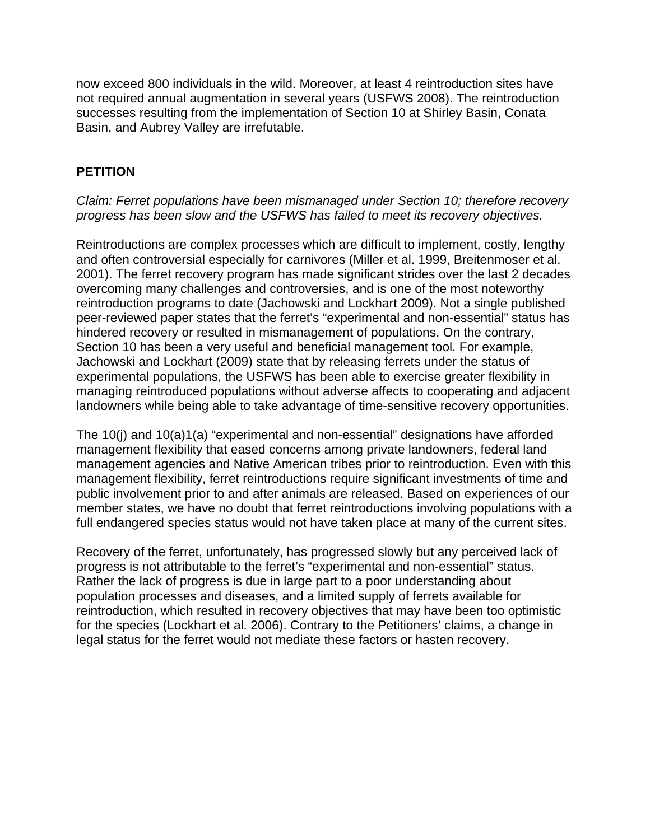now exceed 800 individuals in the wild. Moreover, at least 4 reintroduction sites have not required annual augmentation in several years (USFWS 2008). The reintroduction successes resulting from the implementation of Section 10 at Shirley Basin, Conata Basin, and Aubrey Valley are irrefutable.

# **PETITION**

#### *Claim: Ferret populations have been mismanaged under Section 10; therefore recovery progress has been slow and the USFWS has failed to meet its recovery objectives.*

Reintroductions are complex processes which are difficult to implement, costly, lengthy and often controversial especially for carnivores (Miller et al. 1999, Breitenmoser et al. 2001). The ferret recovery program has made significant strides over the last 2 decades overcoming many challenges and controversies, and is one of the most noteworthy reintroduction programs to date (Jachowski and Lockhart 2009). Not a single published peer-reviewed paper states that the ferret's "experimental and non-essential" status has hindered recovery or resulted in mismanagement of populations. On the contrary, Section 10 has been a very useful and beneficial management tool. For example, Jachowski and Lockhart (2009) state that by releasing ferrets under the status of experimental populations, the USFWS has been able to exercise greater flexibility in managing reintroduced populations without adverse affects to cooperating and adjacent landowners while being able to take advantage of time-sensitive recovery opportunities.

The 10(j) and 10(a)1(a) "experimental and non-essential" designations have afforded management flexibility that eased concerns among private landowners, federal land management agencies and Native American tribes prior to reintroduction. Even with this management flexibility, ferret reintroductions require significant investments of time and public involvement prior to and after animals are released. Based on experiences of our member states, we have no doubt that ferret reintroductions involving populations with a full endangered species status would not have taken place at many of the current sites.

Recovery of the ferret, unfortunately, has progressed slowly but any perceived lack of progress is not attributable to the ferret's "experimental and non-essential" status. Rather the lack of progress is due in large part to a poor understanding about population processes and diseases, and a limited supply of ferrets available for reintroduction, which resulted in recovery objectives that may have been too optimistic for the species (Lockhart et al. 2006). Contrary to the Petitioners' claims, a change in legal status for the ferret would not mediate these factors or hasten recovery.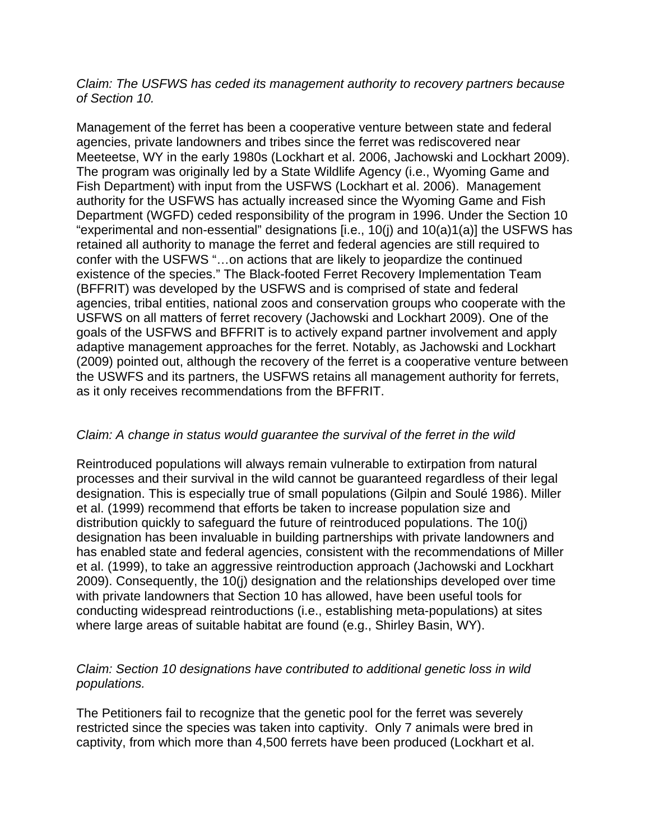#### *Claim: The USFWS has ceded its management authority to recovery partners because of Section 10.*

Management of the ferret has been a cooperative venture between state and federal agencies, private landowners and tribes since the ferret was rediscovered near Meeteetse, WY in the early 1980s (Lockhart et al. 2006, Jachowski and Lockhart 2009). The program was originally led by a State Wildlife Agency (i.e., Wyoming Game and Fish Department) with input from the USFWS (Lockhart et al. 2006). Management authority for the USFWS has actually increased since the Wyoming Game and Fish Department (WGFD) ceded responsibility of the program in 1996. Under the Section 10 "experimental and non-essential" designations [i.e., 10(j) and 10(a)1(a)] the USFWS has retained all authority to manage the ferret and federal agencies are still required to confer with the USFWS "…on actions that are likely to jeopardize the continued existence of the species." The Black-footed Ferret Recovery Implementation Team (BFFRIT) was developed by the USFWS and is comprised of state and federal agencies, tribal entities, national zoos and conservation groups who cooperate with the USFWS on all matters of ferret recovery (Jachowski and Lockhart 2009). One of the goals of the USFWS and BFFRIT is to actively expand partner involvement and apply adaptive management approaches for the ferret. Notably, as Jachowski and Lockhart (2009) pointed out, although the recovery of the ferret is a cooperative venture between the USWFS and its partners, the USFWS retains all management authority for ferrets, as it only receives recommendations from the BFFRIT.

#### *Claim: A change in status would guarantee the survival of the ferret in the wild*

Reintroduced populations will always remain vulnerable to extirpation from natural processes and their survival in the wild cannot be guaranteed regardless of their legal designation. This is especially true of small populations (Gilpin and Soulé 1986). Miller et al. (1999) recommend that efforts be taken to increase population size and distribution quickly to safeguard the future of reintroduced populations. The 10(j) designation has been invaluable in building partnerships with private landowners and has enabled state and federal agencies, consistent with the recommendations of Miller et al. (1999), to take an aggressive reintroduction approach (Jachowski and Lockhart 2009). Consequently, the 10(j) designation and the relationships developed over time with private landowners that Section 10 has allowed, have been useful tools for conducting widespread reintroductions (i.e., establishing meta-populations) at sites where large areas of suitable habitat are found (e.g., Shirley Basin, WY).

#### *Claim: Section 10 designations have contributed to additional genetic loss in wild populations.*

The Petitioners fail to recognize that the genetic pool for the ferret was severely restricted since the species was taken into captivity. Only 7 animals were bred in captivity, from which more than 4,500 ferrets have been produced (Lockhart et al.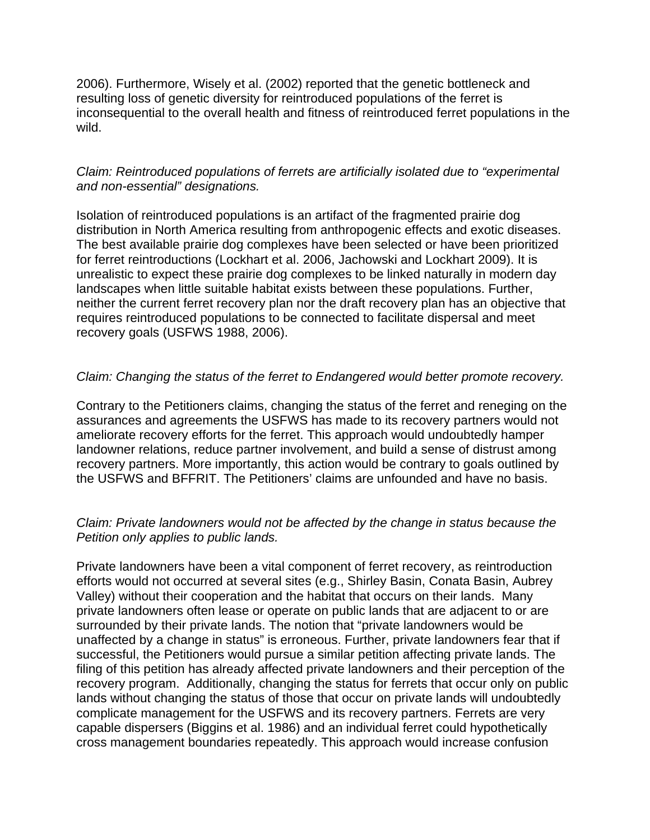2006). Furthermore, Wisely et al. (2002) reported that the genetic bottleneck and resulting loss of genetic diversity for reintroduced populations of the ferret is inconsequential to the overall health and fitness of reintroduced ferret populations in the wild.

## *Claim: Reintroduced populations of ferrets are artificially isolated due to "experimental and non-essential" designations.*

Isolation of reintroduced populations is an artifact of the fragmented prairie dog distribution in North America resulting from anthropogenic effects and exotic diseases. The best available prairie dog complexes have been selected or have been prioritized for ferret reintroductions (Lockhart et al. 2006, Jachowski and Lockhart 2009). It is unrealistic to expect these prairie dog complexes to be linked naturally in modern day landscapes when little suitable habitat exists between these populations. Further, neither the current ferret recovery plan nor the draft recovery plan has an objective that requires reintroduced populations to be connected to facilitate dispersal and meet recovery goals (USFWS 1988, 2006).

## *Claim: Changing the status of the ferret to Endangered would better promote recovery.*

Contrary to the Petitioners claims, changing the status of the ferret and reneging on the assurances and agreements the USFWS has made to its recovery partners would not ameliorate recovery efforts for the ferret. This approach would undoubtedly hamper landowner relations, reduce partner involvement, and build a sense of distrust among recovery partners. More importantly, this action would be contrary to goals outlined by the USFWS and BFFRIT. The Petitioners' claims are unfounded and have no basis.

#### *Claim: Private landowners would not be affected by the change in status because the Petition only applies to public lands.*

Private landowners have been a vital component of ferret recovery, as reintroduction efforts would not occurred at several sites (e.g., Shirley Basin, Conata Basin, Aubrey Valley) without their cooperation and the habitat that occurs on their lands. Many private landowners often lease or operate on public lands that are adjacent to or are surrounded by their private lands. The notion that "private landowners would be unaffected by a change in status" is erroneous. Further, private landowners fear that if successful, the Petitioners would pursue a similar petition affecting private lands. The filing of this petition has already affected private landowners and their perception of the recovery program. Additionally, changing the status for ferrets that occur only on public lands without changing the status of those that occur on private lands will undoubtedly complicate management for the USFWS and its recovery partners. Ferrets are very capable dispersers (Biggins et al. 1986) and an individual ferret could hypothetically cross management boundaries repeatedly. This approach would increase confusion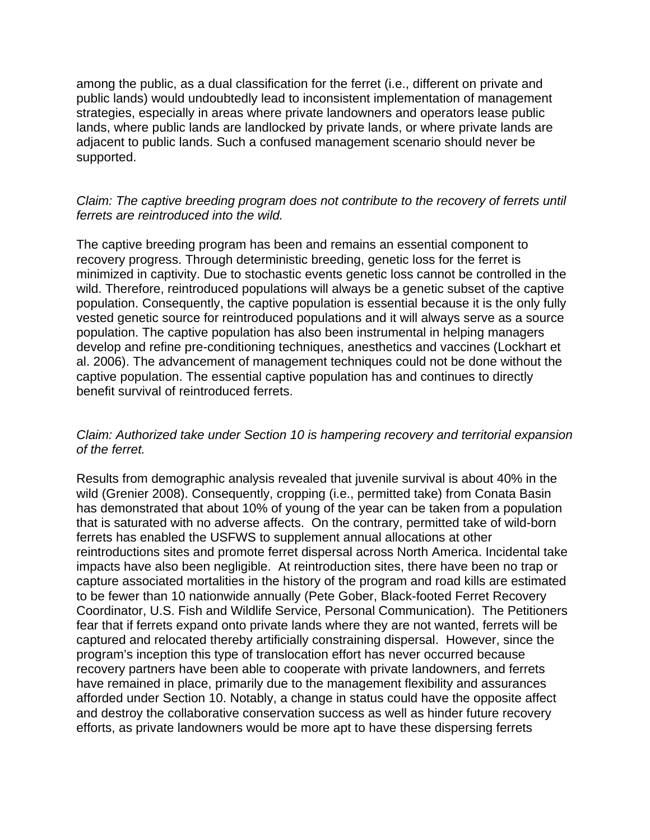among the public, as a dual classification for the ferret (i.e., different on private and public lands) would undoubtedly lead to inconsistent implementation of management strategies, especially in areas where private landowners and operators lease public lands, where public lands are landlocked by private lands, or where private lands are adjacent to public lands. Such a confused management scenario should never be supported.

## *Claim: The captive breeding program does not contribute to the recovery of ferrets until ferrets are reintroduced into the wild.*

The captive breeding program has been and remains an essential component to recovery progress. Through deterministic breeding, genetic loss for the ferret is minimized in captivity. Due to stochastic events genetic loss cannot be controlled in the wild. Therefore, reintroduced populations will always be a genetic subset of the captive population. Consequently, the captive population is essential because it is the only fully vested genetic source for reintroduced populations and it will always serve as a source population. The captive population has also been instrumental in helping managers develop and refine pre-conditioning techniques, anesthetics and vaccines (Lockhart et al. 2006). The advancement of management techniques could not be done without the captive population. The essential captive population has and continues to directly benefit survival of reintroduced ferrets.

## *Claim: Authorized take under Section 10 is hampering recovery and territorial expansion of the ferret.*

Results from demographic analysis revealed that juvenile survival is about 40% in the wild (Grenier 2008). Consequently, cropping (i.e., permitted take) from Conata Basin has demonstrated that about 10% of young of the year can be taken from a population that is saturated with no adverse affects. On the contrary, permitted take of wild-born ferrets has enabled the USFWS to supplement annual allocations at other reintroductions sites and promote ferret dispersal across North America. Incidental take impacts have also been negligible. At reintroduction sites, there have been no trap or capture associated mortalities in the history of the program and road kills are estimated to be fewer than 10 nationwide annually (Pete Gober, Black-footed Ferret Recovery Coordinator, U.S. Fish and Wildlife Service, Personal Communication). The Petitioners fear that if ferrets expand onto private lands where they are not wanted, ferrets will be captured and relocated thereby artificially constraining dispersal. However, since the program's inception this type of translocation effort has never occurred because recovery partners have been able to cooperate with private landowners, and ferrets have remained in place, primarily due to the management flexibility and assurances afforded under Section 10. Notably, a change in status could have the opposite affect and destroy the collaborative conservation success as well as hinder future recovery efforts, as private landowners would be more apt to have these dispersing ferrets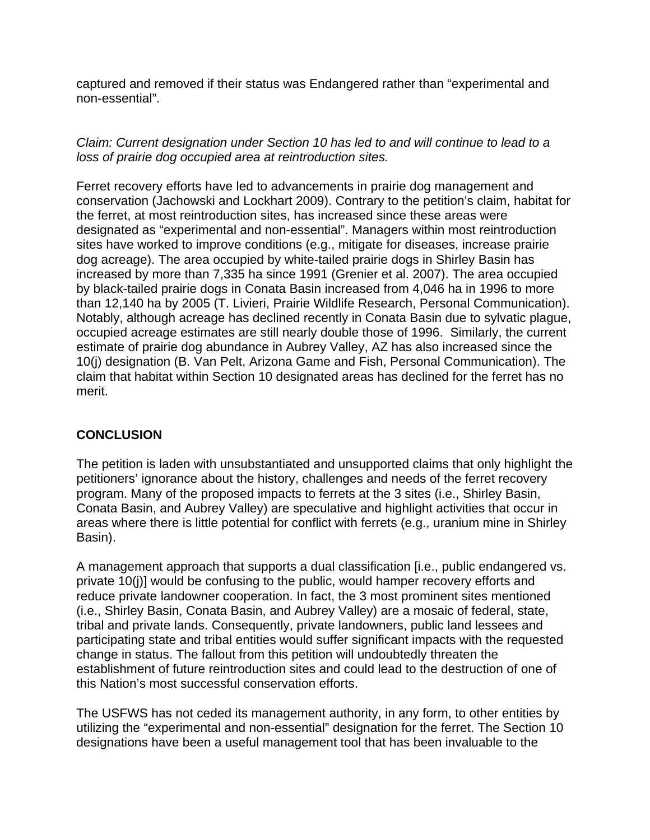captured and removed if their status was Endangered rather than "experimental and non-essential".

*Claim: Current designation under Section 10 has led to and will continue to lead to a loss of prairie dog occupied area at reintroduction sites.* 

Ferret recovery efforts have led to advancements in prairie dog management and conservation (Jachowski and Lockhart 2009). Contrary to the petition's claim, habitat for the ferret, at most reintroduction sites, has increased since these areas were designated as "experimental and non-essential". Managers within most reintroduction sites have worked to improve conditions (e.g., mitigate for diseases, increase prairie dog acreage). The area occupied by white-tailed prairie dogs in Shirley Basin has increased by more than 7,335 ha since 1991 (Grenier et al. 2007). The area occupied by black-tailed prairie dogs in Conata Basin increased from 4,046 ha in 1996 to more than 12,140 ha by 2005 (T. Livieri, Prairie Wildlife Research, Personal Communication). Notably, although acreage has declined recently in Conata Basin due to sylvatic plague, occupied acreage estimates are still nearly double those of 1996. Similarly, the current estimate of prairie dog abundance in Aubrey Valley, AZ has also increased since the 10(j) designation (B. Van Pelt, Arizona Game and Fish, Personal Communication). The claim that habitat within Section 10 designated areas has declined for the ferret has no merit.

## **CONCLUSION**

The petition is laden with unsubstantiated and unsupported claims that only highlight the petitioners' ignorance about the history, challenges and needs of the ferret recovery program. Many of the proposed impacts to ferrets at the 3 sites (i.e., Shirley Basin, Conata Basin, and Aubrey Valley) are speculative and highlight activities that occur in areas where there is little potential for conflict with ferrets (e.g., uranium mine in Shirley Basin).

A management approach that supports a dual classification [i.e., public endangered vs. private 10(j)] would be confusing to the public, would hamper recovery efforts and reduce private landowner cooperation. In fact, the 3 most prominent sites mentioned (i.e., Shirley Basin, Conata Basin, and Aubrey Valley) are a mosaic of federal, state, tribal and private lands. Consequently, private landowners, public land lessees and participating state and tribal entities would suffer significant impacts with the requested change in status. The fallout from this petition will undoubtedly threaten the establishment of future reintroduction sites and could lead to the destruction of one of this Nation's most successful conservation efforts.

The USFWS has not ceded its management authority, in any form, to other entities by utilizing the "experimental and non-essential" designation for the ferret. The Section 10 designations have been a useful management tool that has been invaluable to the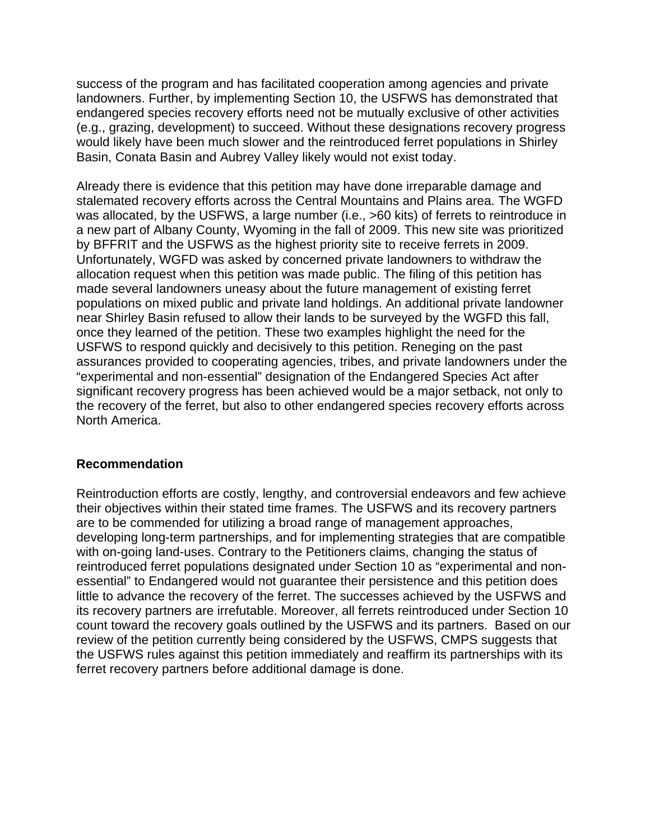success of the program and has facilitated cooperation among agencies and private landowners. Further, by implementing Section 10, the USFWS has demonstrated that endangered species recovery efforts need not be mutually exclusive of other activities (e.g., grazing, development) to succeed. Without these designations recovery progress would likely have been much slower and the reintroduced ferret populations in Shirley Basin, Conata Basin and Aubrey Valley likely would not exist today.

Already there is evidence that this petition may have done irreparable damage and stalemated recovery efforts across the Central Mountains and Plains area. The WGFD was allocated, by the USFWS, a large number (i.e., >60 kits) of ferrets to reintroduce in a new part of Albany County, Wyoming in the fall of 2009. This new site was prioritized by BFFRIT and the USFWS as the highest priority site to receive ferrets in 2009. Unfortunately, WGFD was asked by concerned private landowners to withdraw the allocation request when this petition was made public. The filing of this petition has made several landowners uneasy about the future management of existing ferret populations on mixed public and private land holdings. An additional private landowner near Shirley Basin refused to allow their lands to be surveyed by the WGFD this fall, once they learned of the petition. These two examples highlight the need for the USFWS to respond quickly and decisively to this petition. Reneging on the past assurances provided to cooperating agencies, tribes, and private landowners under the "experimental and non-essential" designation of the Endangered Species Act after significant recovery progress has been achieved would be a major setback, not only to the recovery of the ferret, but also to other endangered species recovery efforts across North America.

## **Recommendation**

Reintroduction efforts are costly, lengthy, and controversial endeavors and few achieve their objectives within their stated time frames. The USFWS and its recovery partners are to be commended for utilizing a broad range of management approaches, developing long-term partnerships, and for implementing strategies that are compatible with on-going land-uses. Contrary to the Petitioners claims, changing the status of reintroduced ferret populations designated under Section 10 as "experimental and nonessential" to Endangered would not guarantee their persistence and this petition does little to advance the recovery of the ferret. The successes achieved by the USFWS and its recovery partners are irrefutable. Moreover, all ferrets reintroduced under Section 10 count toward the recovery goals outlined by the USFWS and its partners. Based on our review of the petition currently being considered by the USFWS, CMPS suggests that the USFWS rules against this petition immediately and reaffirm its partnerships with its ferret recovery partners before additional damage is done.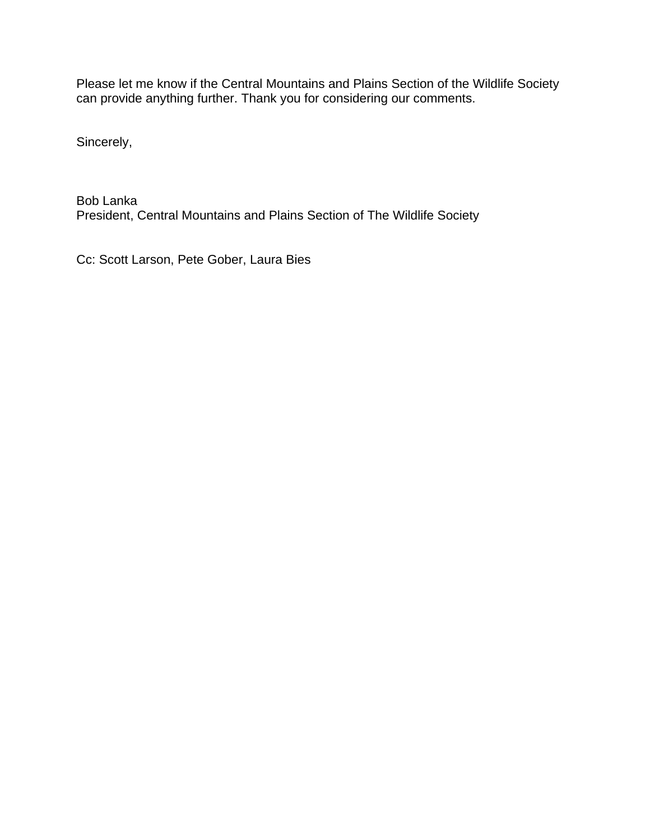Please let me know if the Central Mountains and Plains Section of the Wildlife Society can provide anything further. Thank you for considering our comments.

Sincerely,

Bob Lanka President, Central Mountains and Plains Section of The Wildlife Society

Cc: Scott Larson, Pete Gober, Laura Bies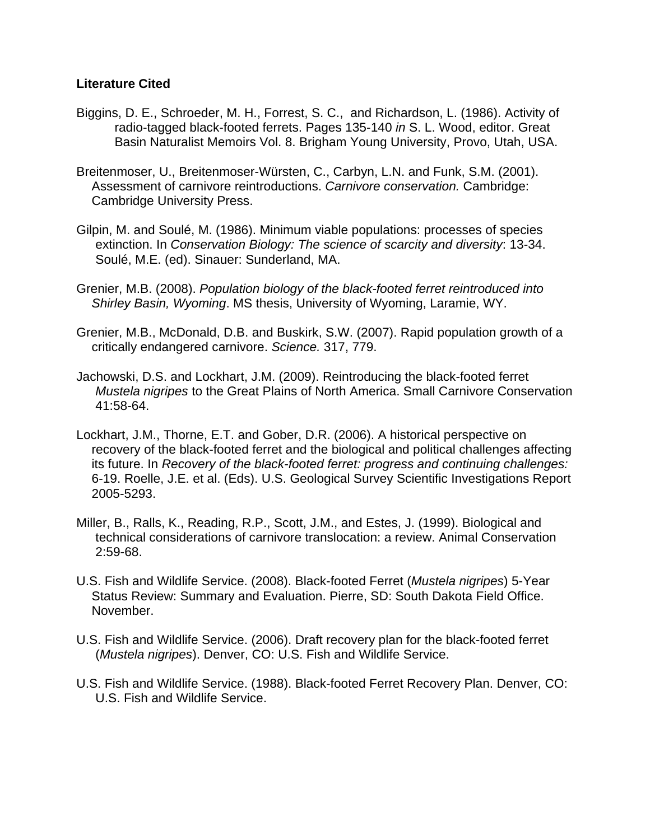## **Literature Cited**

- Biggins, D. E., Schroeder, M. H., Forrest, S. C., and Richardson, L. (1986). Activity of radio-tagged black-footed ferrets. Pages 135-140 *in* S. L. Wood, editor. Great Basin Naturalist Memoirs Vol. 8. Brigham Young University, Provo, Utah, USA.
- Breitenmoser, U., Breitenmoser-Würsten, C., Carbyn, L.N. and Funk, S.M. (2001). Assessment of carnivore reintroductions. *Carnivore conservation.* Cambridge: Cambridge University Press.
- Gilpin, M. and Soulé, M. (1986). Minimum viable populations: processes of species extinction. In *Conservation Biology: The science of scarcity and diversity*: 13-34. Soulé, M.E. (ed). Sinauer: Sunderland, MA.
- Grenier, M.B. (2008). *Population biology of the black-footed ferret reintroduced into Shirley Basin, Wyoming*. MS thesis, University of Wyoming, Laramie, WY.
- Grenier, M.B., McDonald, D.B. and Buskirk, S.W. (2007). Rapid population growth of a critically endangered carnivore. *Science.* 317, 779.
- Jachowski, D.S. and Lockhart, J.M. (2009). Reintroducing the black-footed ferret *Mustela nigripes* to the Great Plains of North America. Small Carnivore Conservation 41:58-64.
- Lockhart, J.M., Thorne, E.T. and Gober, D.R. (2006). A historical perspective on recovery of the black-footed ferret and the biological and political challenges affecting its future. In *Recovery of the black-footed ferret: progress and continuing challenges:* 6-19. Roelle, J.E. et al. (Eds). U.S. Geological Survey Scientific Investigations Report 2005-5293.
- Miller, B., Ralls, K., Reading, R.P., Scott, J.M., and Estes, J. (1999). Biological and technical considerations of carnivore translocation: a review. Animal Conservation 2:59-68.
- U.S. Fish and Wildlife Service. (2008). Black-footed Ferret (*Mustela nigripes*) 5-Year Status Review: Summary and Evaluation. Pierre, SD: South Dakota Field Office. November.
- U.S. Fish and Wildlife Service. (2006). Draft recovery plan for the black-footed ferret (*Mustela nigripes*). Denver, CO: U.S. Fish and Wildlife Service.
- U.S. Fish and Wildlife Service. (1988). Black-footed Ferret Recovery Plan. Denver, CO: U.S. Fish and Wildlife Service.